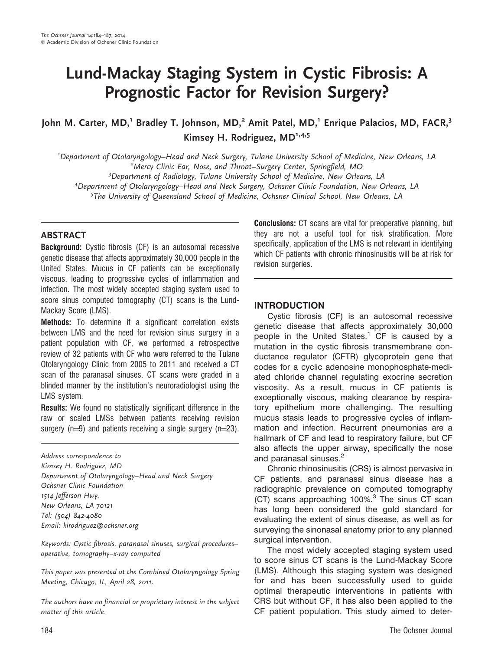# Lund-Mackay Staging System in Cystic Fibrosis: A Prognostic Factor for Revision Surgery?

John M. Carter, MD,<sup>1</sup> Bradley T. Johnson, MD,<sup>2</sup> Amit Patel, MD,<sup>1</sup> Enrique Palacios, MD, FACR,<sup>3</sup> Kimsey H. Rodriguez,  $MD^{1,4,5}$ 

<sup>1</sup>Department of Otolaryngology–Head and Neck Surgery, Tulane University School of Medicine, New Orleans, LA<br><sup>2</sup>Mercy Clinic Far, Nose, and Throat, Surgery Center, Springfield, MO <sup>2</sup>Mercy Clinic Ear, Nose, and Throat–Surgery Center, Springfield, MO

<sup>3</sup>Department of Radiology, Tulane University School of Medicine, New Orleans, LA

4 Department of Otolaryngology–Head and Neck Surgery, Ochsner Clinic Foundation, New Orleans, LA

5 The University of Queensland School of Medicine, Ochsner Clinical School, New Orleans, LA

## **ABSTRACT**

Background: Cystic fibrosis (CF) is an autosomal recessive genetic disease that affects approximately 30,000 people in the United States. Mucus in CF patients can be exceptionally viscous, leading to progressive cycles of inflammation and infection. The most widely accepted staging system used to score sinus computed tomography (CT) scans is the Lund-Mackay Score (LMS).

Methods: To determine if a significant correlation exists between LMS and the need for revision sinus surgery in a patient population with CF, we performed a retrospective review of 32 patients with CF who were referred to the Tulane Otolaryngology Clinic from 2005 to 2011 and received a CT scan of the paranasal sinuses. CT scans were graded in a blinded manner by the institution's neuroradiologist using the LMS system.

Results: We found no statistically significant difference in the raw or scaled LMSs between patients receiving revision surgery ( $n=9$ ) and patients receiving a single surgery ( $n=23$ ).

Address correspondence to Kimsey H. Rodriguez, MD Department of Otolaryngology–Head and Neck Surgery Ochsner Clinic Foundation 1514 Jefferson Hwy. New Orleans, LA 70121 Tel: (504) 842-4080 Email: kirodriguez@ochsner.org

Keywords: Cystic fibrosis, paranasal sinuses, surgical procedures– operative, tomography–x-ray computed

This paper was presented at the Combined Otolaryngology Spring Meeting, Chicago, IL, April 28, 2011.

The authors have no financial or proprietary interest in the subject matter of this article.

Conclusions: CT scans are vital for preoperative planning, but they are not a useful tool for risk stratification. More specifically, application of the LMS is not relevant in identifying which CF patients with chronic rhinosinusitis will be at risk for revision surgeries.

#### INTRODUCTION

Cystic fibrosis (CF) is an autosomal recessive genetic disease that affects approximately 30,000 people in the United States.<sup>1</sup> CF is caused by a mutation in the cystic fibrosis transmembrane conductance regulator (CFTR) glycoprotein gene that codes for a cyclic adenosine monophosphate-mediated chloride channel regulating exocrine secretion viscosity. As a result, mucus in CF patients is exceptionally viscous, making clearance by respiratory epithelium more challenging. The resulting mucus stasis leads to progressive cycles of inflammation and infection. Recurrent pneumonias are a hallmark of CF and lead to respiratory failure, but CF also affects the upper airway, specifically the nose and paranasal sinuses.<sup>2</sup>

Chronic rhinosinusitis (CRS) is almost pervasive in CF patients, and paranasal sinus disease has a radiographic prevalence on computed tomography (CT) scans approaching 100%.<sup>3</sup> The sinus CT scan has long been considered the gold standard for evaluating the extent of sinus disease, as well as for surveying the sinonasal anatomy prior to any planned surgical intervention.

The most widely accepted staging system used to score sinus CT scans is the Lund-Mackay Score (LMS). Although this staging system was designed for and has been successfully used to guide optimal therapeutic interventions in patients with CRS but without CF, it has also been applied to the CF patient population. This study aimed to deter-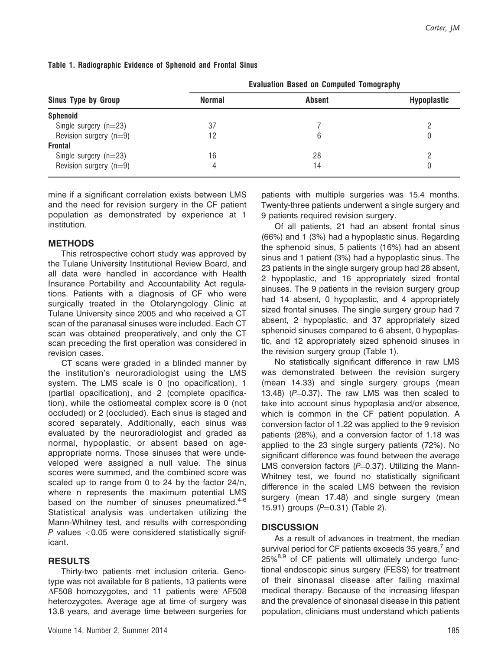| <b>Sinus Type by Group</b> | <b>Evaluation Based on Computed Tomography</b> |               |                    |
|----------------------------|------------------------------------------------|---------------|--------------------|
|                            | <b>Normal</b>                                  | <b>Absent</b> | <b>Hypoplastic</b> |
| <b>Sphenoid</b>            |                                                |               |                    |
| Single surgery $(n=23)$    | 37                                             |               |                    |
| Revision surgery $(n=9)$   | 12                                             |               | 0                  |
| <b>Frontal</b>             |                                                |               |                    |
| Single surgery $(n=23)$    | 16                                             | 28            |                    |
| Revision surgery $(n=9)$   | 4                                              | 14            |                    |

Table 1. Radiographic Evidence of Sphenoid and Frontal Sinus

mine if a significant correlation exists between LMS and the need for revision surgery in the CF patient population as demonstrated by experience at 1 institution.

## **METHODS**

This retrospective cohort study was approved by the Tulane University Institutional Review Board, and all data were handled in accordance with Health Insurance Portability and Accountability Act regulations. Patients with a diagnosis of CF who were surgically treated in the Otolaryngology Clinic at Tulane University since 2005 and who received a CT scan of the paranasal sinuses were included. Each CT scan was obtained preoperatively, and only the CT scan preceding the first operation was considered in revision cases.

CT scans were graded in a blinded manner by the institution's neuroradiologist using the LMS system. The LMS scale is 0 (no opacification), 1 (partial opacification), and 2 (complete opacification), while the ostiomeatal complex score is 0 (not occluded) or 2 (occluded). Each sinus is staged and scored separately. Additionally, each sinus was evaluated by the neuroradiologist and graded as normal, hypoplastic, or absent based on ageappropriate norms. Those sinuses that were undeveloped were assigned a null value. The sinus scores were summed, and the combined score was scaled up to range from 0 to 24 by the factor 24/n, where n represents the maximum potential LMS based on the number of sinuses pneumatized.<sup>4-6</sup> Statistical analysis was undertaken utilizing the Mann-Whitney test, and results with corresponding  $P$  values  $<$  0.05 were considered statistically significant.

#### RESULTS

Thirty-two patients met inclusion criteria. Genotype was not available for 8 patients, 13 patients were  $\Delta$ F508 homozygotes, and 11 patients were  $\Delta$ F508 heterozygotes. Average age at time of surgery was 13.8 years, and average time between surgeries for

patients with multiple surgeries was 15.4 months. Twenty-three patients underwent a single surgery and 9 patients required revision surgery.

Of all patients, 21 had an absent frontal sinus (66%) and 1 (3%) had a hypoplastic sinus. Regarding the sphenoid sinus, 5 patients (16%) had an absent sinus and 1 patient (3%) had a hypoplastic sinus. The 23 patients in the single surgery group had 28 absent, 2 hypoplastic, and 16 appropriately sized frontal sinuses. The 9 patients in the revision surgery group had 14 absent, 0 hypoplastic, and 4 appropriately sized frontal sinuses. The single surgery group had 7 absent, 2 hypoplastic, and 37 appropriately sized sphenoid sinuses compared to 6 absent, 0 hypoplastic, and 12 appropriately sized sphenoid sinuses in the revision surgery group (Table 1).

No statistically significant difference in raw LMS was demonstrated between the revision surgery (mean 14.33) and single surgery groups (mean 13.48) ( $P=0.37$ ). The raw LMS was then scaled to take into account sinus hypoplasia and/or absence, which is common in the CF patient population. A conversion factor of 1.22 was applied to the 9 revision patients (28%), and a conversion factor of 1.18 was applied to the 23 single surgery patients (72%). No significant difference was found between the average LMS conversion factors  $(P=0.37)$ . Utilizing the Mann-Whitney test, we found no statistically significant difference in the scaled LMS between the revision surgery (mean 17.48) and single surgery (mean 15.91) groups  $(P=0.31)$  (Table 2).

## **DISCUSSION**

As a result of advances in treatment, the median survival period for CF patients exceeds 35 years, $<sup>7</sup>$  and</sup>  $25\%^{8,9}$  of CF patients will ultimately undergo functional endoscopic sinus surgery (FESS) for treatment of their sinonasal disease after failing maximal medical therapy. Because of the increasing lifespan and the prevalence of sinonasal disease in this patient population, clinicians must understand which patients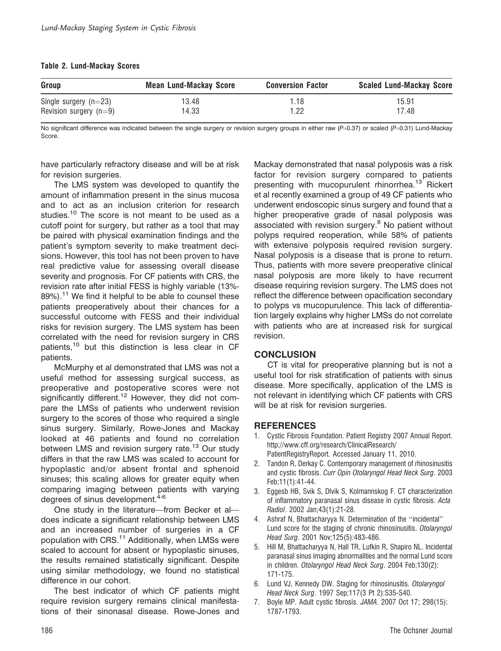#### Table 2. Lund-Mackay Scores

| Group                    | <b>Mean Lund-Mackay Score</b> | <b>Conversion Factor</b> | <b>Scaled Lund-Mackay Score</b> |
|--------------------------|-------------------------------|--------------------------|---------------------------------|
| Single surgery $(n=23)$  | 13.48                         | 1.18                     | 15.91                           |
| Revision surgery $(n=9)$ | 14.33                         | .22                      | 17.48                           |

No significant difference was indicated between the single surgery or revision surgery groups in either raw ( $P=0.37$ ) or scaled ( $P=0.31$ ) Lund-Mackay Score.

have particularly refractory disease and will be at risk for revision surgeries.

The LMS system was developed to quantify the amount of inflammation present in the sinus mucosa and to act as an inclusion criterion for research studies.<sup>10</sup> The score is not meant to be used as a cutoff point for surgery, but rather as a tool that may be paired with physical examination findings and the patient's symptom severity to make treatment decisions. However, this tool has not been proven to have real predictive value for assessing overall disease severity and prognosis. For CF patients with CRS, the revision rate after initial FESS is highly variable (13%- 89%).<sup>11</sup> We find it helpful to be able to counsel these patients preoperatively about their chances for a successful outcome with FESS and their individual risks for revision surgery. The LMS system has been correlated with the need for revision surgery in CRS patients,<sup>10</sup> but this distinction is less clear in CF patients.

McMurphy et al demonstrated that LMS was not a useful method for assessing surgical success, as preoperative and postoperative scores were not significantly different.<sup>12</sup> However, they did not compare the LMSs of patients who underwent revision surgery to the scores of those who required a single sinus surgery. Similarly, Rowe-Jones and Mackay looked at 46 patients and found no correlation between LMS and revision surgery rate.<sup>13</sup> Our study differs in that the raw LMS was scaled to account for hypoplastic and/or absent frontal and sphenoid sinuses; this scaling allows for greater equity when comparing imaging between patients with varying degrees of sinus development.<sup>4-6</sup>

One study in the literature—from Becker et al does indicate a significant relationship between LMS and an increased number of surgeries in a CF population with CRS.<sup>11</sup> Additionally, when LMSs were scaled to account for absent or hypoplastic sinuses, the results remained statistically significant. Despite using similar methodology, we found no statistical difference in our cohort.

The best indicator of which CF patients might require revision surgery remains clinical manifestations of their sinonasal disease. Rowe-Jones and

Mackay demonstrated that nasal polyposis was a risk factor for revision surgery compared to patients presenting with mucopurulent rhinorrhea.<sup>13</sup> Rickert et al recently examined a group of 49 CF patients who underwent endoscopic sinus surgery and found that a higher preoperative grade of nasal polyposis was associated with revision surgery.<sup>8</sup> No patient without polyps required reoperation, while 58% of patients with extensive polyposis required revision surgery. Nasal polyposis is a disease that is prone to return. Thus, patients with more severe preoperative clinical nasal polyposis are more likely to have recurrent disease requiring revision surgery. The LMS does not reflect the difference between opacification secondary to polyps vs mucopurulence. This lack of differentiation largely explains why higher LMSs do not correlate with patients who are at increased risk for surgical revision.

#### **CONCLUSION**

CT is vital for preoperative planning but is not a useful tool for risk stratification of patients with sinus disease. More specifically, application of the LMS is not relevant in identifying which CF patients with CRS will be at risk for revision surgeries.

#### **REFERENCES**

- 1. Cystic Fibrosis Foundation. Patient Registry 2007 Annual Report. http://www.cff.org/research/ClinicalResearch/ PatientRegistryReport. Accessed January 11, 2010.
- 2. Tandon R, Derkay C. Contemporary management of rhinosinusitis and cystic fibrosis. Curr Opin Otolaryngol Head Neck Surg. 2003 Feb;11(1):41-44.
- 3. Eggesb HB, Svik S, Dlvik S, Kolmannskog F. CT characterization of inflammatory paranasal sinus disease in cystic fibrosis. Acta Radiol. 2002 Jan;43(1):21-28.
- 4. Ashraf N, Bhattacharyya N. Determination of the ''incidental'' Lund score for the staging of chronic rhinosinusitis. Otolaryngol Head Surg. 2001 Nov;125(5):483-486.
- 5. Hill M, Bhattacharyya N, Hall TR, Lufkin R, Shapiro NL. Incidental paranasal sinus imaging abnormalities and the normal Lund score in children. Otolaryngol Head Neck Surg. 2004 Feb;130(2): 171-175.
- 6. Lund VJ, Kennedy DW. Staging for rhinosinusitis. Otolaryngol Head Neck Surg. 1997 Sep;117(3 Pt 2):S35-S40.
- 7. Boyle MP. Adult cystic fibrosis. JAMA. 2007 Oct 17; 298(15): 1787-1793.